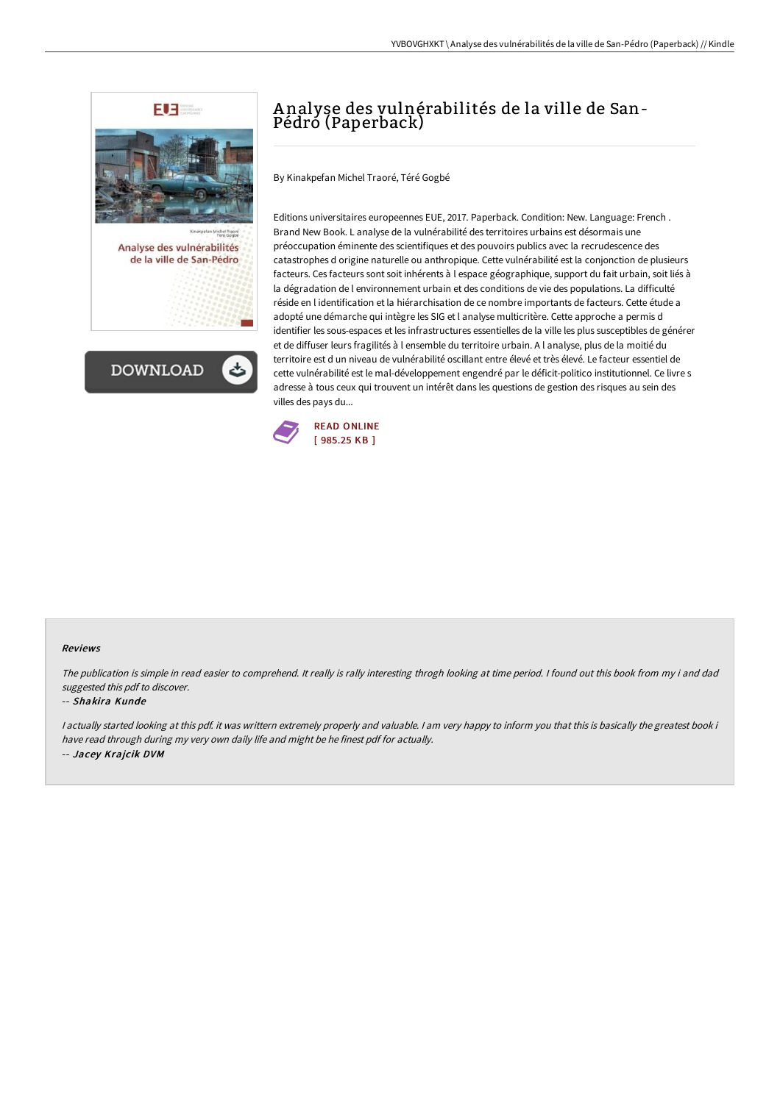



# A nalyse des vulnérabilités de la ville de San-Pédró (Paperback)

By Kinakpefan Michel Traoré, Téré Gogbé

Editions universitaires europeennes EUE, 2017. Paperback. Condition: New. Language: French . Brand New Book. L analyse de la vulnérabilité des territoires urbains est désormais une préoccupation éminente des scientifiques et des pouvoirs publics avec la recrudescence des catastrophes d origine naturelle ou anthropique. Cette vulnérabilité est la conjonction de plusieurs facteurs. Ces facteurs sont soit inhérents à l espace géographique, support du fait urbain, soit liés à la dégradation de l environnement urbain et des conditions de vie des populations. La difficulté réside en l identification et la hiérarchisation de ce nombre importants de facteurs. Cette étude a adopté une démarche qui intègre les SIG et l analyse multicritère. Cette approche a permis d identifier les sous-espaces et les infrastructures essentielles de la ville les plus susceptibles de générer et de diffuser leurs fragilités à l ensemble du territoire urbain. A l analyse, plus de la moitié du territoire est d un niveau de vulnérabilité oscillant entre élevé et très élevé. Le facteur essentiel de cette vulnérabilité est le mal-développement engendré par le déficit-politico institutionnel. Ce livre s adresse à tous ceux qui trouvent un intérêt dans les questions de gestion des risques au sein des villes des pays du...



#### Reviews

The publication is simple in read easier to comprehend. It really is rally interesting throgh looking at time period. I found out this book from my i and dad suggested this pdf to discover.

#### -- Shakira Kunde

<sup>I</sup> actually started looking at this pdf. it was writtern extremely properly and valuable. <sup>I</sup> am very happy to inform you that this is basically the greatest book i have read through during my very own daily life and might be he finest pdf for actually. -- Jacey Krajcik DVM